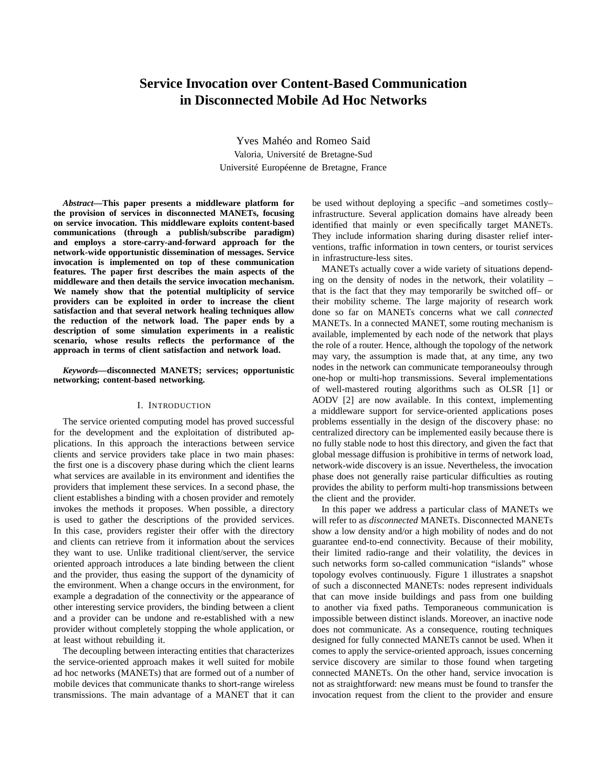# **Service Invocation over Content-Based Communication in Disconnected Mobile Ad Hoc Networks**

Yves Mahéo and Romeo Said Valoria, Université de Bretagne-Sud Université Européenne de Bretagne, France

*Abstract***—This paper presents a middleware platform for the provision of services in disconnected MANETs, focusing on service invocation. This middleware exploits content-based communications (through a publish/subscribe paradigm) and employs a store-carry-and-forward approach for the network-wide opportunistic dissemination of messages. Service invocation is implemented on top of these communication features. The paper first describes the main aspects of the middleware and then details the service invocation mechanism. We namely show that the potential multiplicity of service providers can be exploited in order to increase the client satisfaction and that several network healing techniques allow the reduction of the network load. The paper ends by a description of some simulation experiments in a realistic scenario, whose results reflects the performance of the approach in terms of client satisfaction and network load.**

*Keywords—***disconnected MANETS; services; opportunistic networking; content-based networking.**

## I. INTRODUCTION

The service oriented computing model has proved successful for the development and the exploitation of distributed applications. In this approach the interactions between service clients and service providers take place in two main phases: the first one is a discovery phase during which the client learns what services are available in its environment and identifies the providers that implement these services. In a second phase, the client establishes a binding with a chosen provider and remotely invokes the methods it proposes. When possible, a directory is used to gather the descriptions of the provided services. In this case, providers register their offer with the directory and clients can retrieve from it information about the services they want to use. Unlike traditional client/server, the service oriented approach introduces a late binding between the client and the provider, thus easing the support of the dynamicity of the environment. When a change occurs in the environment, for example a degradation of the connectivity or the appearance of other interesting service providers, the binding between a client and a provider can be undone and re-established with a new provider without completely stopping the whole application, or at least without rebuilding it.

The decoupling between interacting entities that characterizes the service-oriented approach makes it well suited for mobile ad hoc networks (MANETs) that are formed out of a number of mobile devices that communicate thanks to short-range wireless transmissions. The main advantage of a MANET that it can be used without deploying a specific –and sometimes costly– infrastructure. Several application domains have already been identified that mainly or even specifically target MANETs. They include information sharing during disaster relief interventions, traffic information in town centers, or tourist services in infrastructure-less sites.

MANETs actually cover a wide variety of situations depending on the density of nodes in the network, their volatility – that is the fact that they may temporarily be switched off– or their mobility scheme. The large majority of research work done so far on MANETs concerns what we call *connected* MANETs. In a connected MANET, some routing mechanism is available, implemented by each node of the network that plays the role of a router. Hence, although the topology of the network may vary, the assumption is made that, at any time, any two nodes in the network can communicate temporaneoulsy through one-hop or multi-hop transmissions. Several implementations of well-mastered routing algorithms such as OLSR [1] or AODV [2] are now available. In this context, implementing a middleware support for service-oriented applications poses problems essentially in the design of the discovery phase: no centralized directory can be implemented easily because there is no fully stable node to host this directory, and given the fact that global message diffusion is prohibitive in terms of network load, network-wide discovery is an issue. Nevertheless, the invocation phase does not generally raise particular difficulties as routing provides the ability to perform multi-hop transmissions between the client and the provider.

In this paper we address a particular class of MANETs we will refer to as *disconnected* MANETs. Disconnected MANETs show a low density and/or a high mobility of nodes and do not guarantee end-to-end connectivity. Because of their mobility, their limited radio-range and their volatility, the devices in such networks form so-called communication "islands" whose topology evolves continuously. Figure 1 illustrates a snapshot of such a disconnected MANETs: nodes represent individuals that can move inside buildings and pass from one building to another via fixed paths. Temporaneous communication is impossible between distinct islands. Moreover, an inactive node does not communicate. As a consequence, routing techniques designed for fully connected MANETs cannot be used. When it comes to apply the service-oriented approach, issues concerning service discovery are similar to those found when targeting connected MANETs. On the other hand, service invocation is not as straightforward: new means must be found to transfer the invocation request from the client to the provider and ensure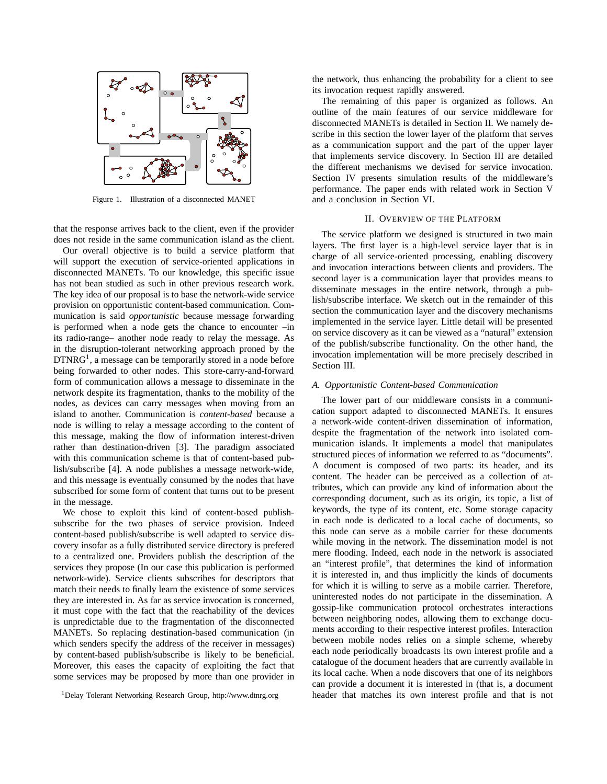

Figure 1. Illustration of a disconnected MANET

that the response arrives back to the client, even if the provider does not reside in the same communication island as the client.

Our overall objective is to build a service platform that will support the execution of service-oriented applications in disconnected MANETs. To our knowledge, this specific issue has not bean studied as such in other previous research work. The key idea of our proposal is to base the network-wide service provision on opportunistic content-based communication. Communication is said *opportunistic* because message forwarding is performed when a node gets the chance to encounter –in its radio-range– another node ready to relay the message. As in the disruption-tolerant networking approach proned by the  $DTNRG<sup>1</sup>$ , a message can be temporarily stored in a node before being forwarded to other nodes. This store-carry-and-forward form of communication allows a message to disseminate in the network despite its fragmentation, thanks to the mobility of the nodes, as devices can carry messages when moving from an island to another. Communication is *content-based* because a node is willing to relay a message according to the content of this message, making the flow of information interest-driven rather than destination-driven [3]. The paradigm associated with this communication scheme is that of content-based publish/subscribe [4]. A node publishes a message network-wide, and this message is eventually consumed by the nodes that have subscribed for some form of content that turns out to be present in the message.

We chose to exploit this kind of content-based publishsubscribe for the two phases of service provision. Indeed content-based publish/subscribe is well adapted to service discovery insofar as a fully distributed service directory is prefered to a centralized one. Providers publish the description of the services they propose (In our case this publication is performed network-wide). Service clients subscribes for descriptors that match their needs to finally learn the existence of some services they are interested in. As far as service invocation is concerned, it must cope with the fact that the reachability of the devices is unpredictable due to the fragmentation of the disconnected MANETs. So replacing destination-based communication (in which senders specify the address of the receiver in messages) by content-based publish/subscribe is likely to be beneficial. Moreover, this eases the capacity of exploiting the fact that some services may be proposed by more than one provider in the network, thus enhancing the probability for a client to see its invocation request rapidly answered.

The remaining of this paper is organized as follows. An outline of the main features of our service middleware for disconnected MANETs is detailed in Section II. We namely describe in this section the lower layer of the platform that serves as a communication support and the part of the upper layer that implements service discovery. In Section III are detailed the different mechanisms we devised for service invocation. Section IV presents simulation results of the middleware's performance. The paper ends with related work in Section V and a conclusion in Section VI.

# II. OVERVIEW OF THE PLATFORM

The service platform we designed is structured in two main layers. The first layer is a high-level service layer that is in charge of all service-oriented processing, enabling discovery and invocation interactions between clients and providers. The second layer is a communication layer that provides means to disseminate messages in the entire network, through a publish/subscribe interface. We sketch out in the remainder of this section the communication layer and the discovery mechanisms implemented in the service layer. Little detail will be presented on service discovery as it can be viewed as a "natural" extension of the publish/subscribe functionality. On the other hand, the invocation implementation will be more precisely described in Section III.

# *A. Opportunistic Content-based Communication*

The lower part of our middleware consists in a communication support adapted to disconnected MANETs. It ensures a network-wide content-driven dissemination of information, despite the fragmentation of the network into isolated communication islands. It implements a model that manipulates structured pieces of information we referred to as "documents". A document is composed of two parts: its header, and its content. The header can be perceived as a collection of attributes, which can provide any kind of information about the corresponding document, such as its origin, its topic, a list of keywords, the type of its content, etc. Some storage capacity in each node is dedicated to a local cache of documents, so this node can serve as a mobile carrier for these documents while moving in the network. The dissemination model is not mere flooding. Indeed, each node in the network is associated an "interest profile", that determines the kind of information it is interested in, and thus implicitly the kinds of documents for which it is willing to serve as a mobile carrier. Therefore, uninterested nodes do not participate in the dissemination. A gossip-like communication protocol orchestrates interactions between neighboring nodes, allowing them to exchange documents according to their respective interest profiles. Interaction between mobile nodes relies on a simple scheme, whereby each node periodically broadcasts its own interest profile and a catalogue of the document headers that are currently available in its local cache. When a node discovers that one of its neighbors can provide a document it is interested in (that is, a document header that matches its own interest profile and that is not

<sup>1</sup>Delay Tolerant Networking Research Group, http://www.dtnrg.org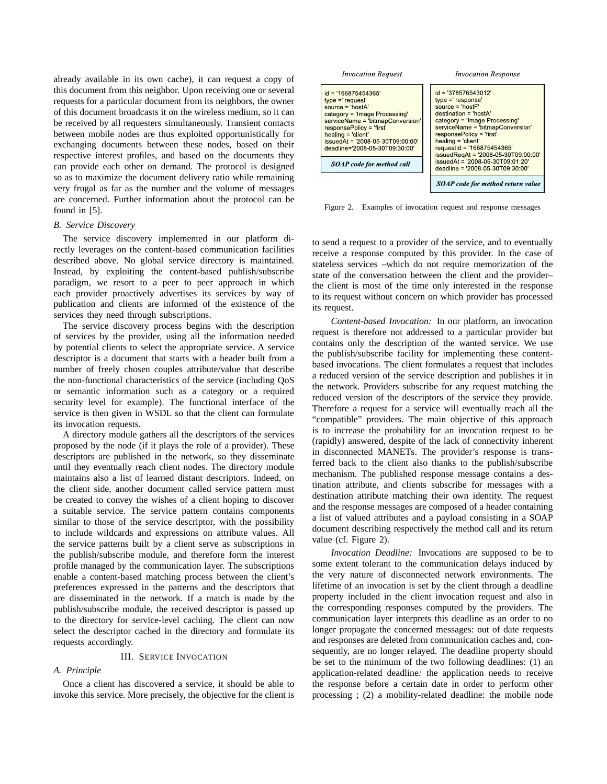already available in its own cache), it can request a copy of this document from this neighbor. Upon receiving one or several requests for a particular document from its neighbors, the owner of this document broadcasts it on the wireless medium, so it can be received by all requesters simultaneously. Transient contacts between mobile nodes are thus exploited opportunistically for exchanging documents between these nodes, based on their respective interest profiles, and based on the documents they can provide each other on demand. The protocol is designed so as to maximize the document delivery ratio while remaining very frugal as far as the number and the volume of messages are concerned. Further information about the protocol can be found in [5].

# *B. Service Discovery*

The service discovery implemented in our platform directly leverages on the content-based communication facilities described above. No global service directory is maintained. Instead, by exploiting the content-based publish/subscribe paradigm, we resort to a peer to peer approach in which each provider proactively advertises its services by way of publication and clients are informed of the existence of the services they need through subscriptions.

The service discovery process begins with the description of services by the provider, using all the information needed by potential clients to select the appropriate service. A service descriptor is a document that starts with a header built from a number of freely chosen couples attribute/value that describe the non-functional characteristics of the service (including QoS or semantic information such as a category or a required security level for example). The functional interface of the service is then given in WSDL so that the client can formulate its invocation requests.

A directory module gathers all the descriptors of the services proposed by the node (if it plays the role of a provider). These descriptors are published in the network, so they disseminate until they eventually reach client nodes. The directory module maintains also a list of learned distant descriptors. Indeed, on the client side, another document called service pattern must be created to convey the wishes of a client hoping to discover a suitable service. The service pattern contains components similar to those of the service descriptor, with the possibility to include wildcards and expressions on attribute values. All the service patterns built by a client serve as subscriptions in the publish/subscribe module, and therefore form the interest profile managed by the communication layer. The subscriptions enable a content-based matching process between the client's preferences expressed in the patterns and the descriptors that are disseminated in the network. If a match is made by the publish/subscribe module, the received descriptor is passed up to the directory for service-level caching. The client can now select the descriptor cached in the directory and formulate its requests accordingly.

#### III. SERVICE INVOCATION

## *A. Principle*

Once a client has discovered a service, it should be able to invoke this service. More precisely, the objective for the client is



Figure 2. Examples of invocation request and response messages

to send a request to a provider of the service, and to eventually receive a response computed by this provider. In the case of stateless services –which do not require memorization of the state of the conversation between the client and the provider– the client is most of the time only interested in the response to its request without concern on which provider has processed its request.

*Content-based Invocation:* In our platform, an invocation request is therefore not addressed to a particular provider but contains only the description of the wanted service. We use the publish/subscribe facility for implementing these contentbased invocations. The client formulates a request that includes a reduced version of the service description and publishes it in the network. Providers subscribe for any request matching the reduced version of the descriptors of the service they provide. Therefore a request for a service will eventually reach all the "compatible" providers. The main objective of this approach is to increase the probability for an invocation request to be (rapidly) answered, despite of the lack of connectivity inherent in disconnected MANETs. The provider's response is transferred back to the client also thanks to the publish/subscribe mechanism. The published response message contains a destination attribute, and clients subscribe for messages with a destination attribute matching their own identity. The request and the response messages are composed of a header containing a list of valued attributes and a payload consisting in a SOAP document describing respectively the method call and its return value (cf. Figure 2).

*Invocation Deadline:* Invocations are supposed to be to some extent tolerant to the communication delays induced by the very nature of disconnected network environments. The lifetime of an invocation is set by the client through a deadline property included in the client invocation request and also in the corresponding responses computed by the providers. The communication layer interprets this deadline as an order to no longer propagate the concerned messages: out of date requests and responses are deleted from communication caches and, consequently, are no longer relayed. The deadline property should be set to the minimum of the two following deadlines: (1) an application-related deadline*:* the application needs to receive the response before a certain date in order to perform other processing ; (2) a mobility-related deadline: the mobile node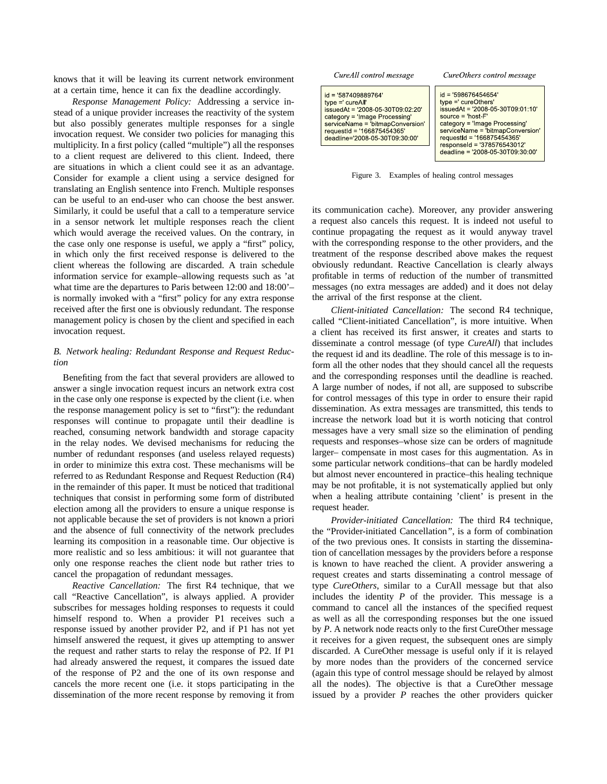knows that it will be leaving its current network environment at a certain time, hence it can fix the deadline accordingly.

*Response Management Policy:* Addressing a service instead of a unique provider increases the reactivity of the system but also possibly generates multiple responses for a single invocation request. We consider two policies for managing this multiplicity. In a first policy (called "multiple") all the responses to a client request are delivered to this client. Indeed, there are situations in which a client could see it as an advantage. Consider for example a client using a service designed for translating an English sentence into French. Multiple responses can be useful to an end-user who can choose the best answer. Similarly, it could be useful that a call to a temperature service in a sensor network let multiple responses reach the client which would average the received values. On the contrary, in the case only one response is useful, we apply a "first" policy, in which only the first received response is delivered to the client whereas the following are discarded. A train schedule information service for example–allowing requests such as 'at what time are the departures to Paris between 12:00 and 18:00'– is normally invoked with a "first" policy for any extra response received after the first one is obviously redundant. The response management policy is chosen by the client and specified in each invocation request.

# *B. Network healing: Redundant Response and Request Reduction*

Benefiting from the fact that several providers are allowed to answer a single invocation request incurs an network extra cost in the case only one response is expected by the client (i.e. when the response management policy is set to "first"): the redundant responses will continue to propagate until their deadline is reached, consuming network bandwidth and storage capacity in the relay nodes. We devised mechanisms for reducing the number of redundant responses (and useless relayed requests) in order to minimize this extra cost. These mechanisms will be referred to as Redundant Response and Request Reduction (R4) in the remainder of this paper. It must be noticed that traditional techniques that consist in performing some form of distributed election among all the providers to ensure a unique response is not applicable because the set of providers is not known a priori and the absence of full connectivity of the network precludes learning its composition in a reasonable time. Our objective is more realistic and so less ambitious: it will not guarantee that only one response reaches the client node but rather tries to cancel the propagation of redundant messages.

*Reactive Cancellation:* The first R4 technique, that we call "Reactive Cancellation", is always applied. A provider subscribes for messages holding responses to requests it could himself respond to. When a provider P1 receives such a response issued by another provider P2, and if P1 has not yet himself answered the request, it gives up attempting to answer the request and rather starts to relay the response of P2. If P1 had already answered the request, it compares the issued date of the response of P2 and the one of its own response and cancels the more recent one (i.e. it stops participating in the dissemination of the more recent response by removing it from CureAll control message

 $id = 587409889764'$ type =' cureAll' issuedAt = '2008-05-30T09:02:20' category = 'Image Processing'<br>serviceName = 'bitmapConversion' requestId =  $'166875454365'$ deadline='2008-05-30T09:30:00'

CureOthers control message

id = '598676454654' type =' cureOthers issuedAt = '2008-05-30T09:01:10' source = 'host-F' category = 'Image Processing' serviceName = 'bitmapConversion'  $rec$  vice value bumapoon v deadline = '2008-05-30T09:30:00'

Figure 3. Examples of healing control messages

its communication cache). Moreover, any provider answering a request also cancels this request. It is indeed not useful to continue propagating the request as it would anyway travel with the corresponding response to the other providers, and the treatment of the response described above makes the request obviously redundant. Reactive Cancellation is clearly always profitable in terms of reduction of the number of transmitted messages (no extra messages are added) and it does not delay the arrival of the first response at the client.

*Client-initiated Cancellation:* The second R4 technique, called "Client-initiated Cancellation", is more intuitive. When a client has received its first answer, it creates and starts to disseminate a control message (of type *CureAll*) that includes the request id and its deadline. The role of this message is to inform all the other nodes that they should cancel all the requests and the corresponding responses until the deadline is reached. A large number of nodes, if not all, are supposed to subscribe for control messages of this type in order to ensure their rapid dissemination. As extra messages are transmitted, this tends to increase the network load but it is worth noticing that control messages have a very small size so the elimination of pending requests and responses–whose size can be orders of magnitude larger– compensate in most cases for this augmentation. As in some particular network conditions–that can be hardly modeled but almost never encountered in practice–this healing technique may be not profitable, it is not systematically applied but only when a healing attribute containing 'client' is present in the request header.

*Provider-initiated Cancellation:* The third R4 technique, the "Provider-initiated Cancellation*"*, is a form of combination of the two previous ones. It consists in starting the dissemination of cancellation messages by the providers before a response is known to have reached the client. A provider answering a request creates and starts disseminating a control message of type *CureOthers*, similar to a CurAll message but that also includes the identity *P* of the provider. This message is a command to cancel all the instances of the specified request as well as all the corresponding responses but the one issued by *P*. A network node reacts only to the first CureOther message it receives for a given request, the subsequent ones are simply discarded. A CureOther message is useful only if it is relayed by more nodes than the providers of the concerned service (again this type of control message should be relayed by almost all the nodes). The objective is that a CureOther message issued by a provider *P* reaches the other providers quicker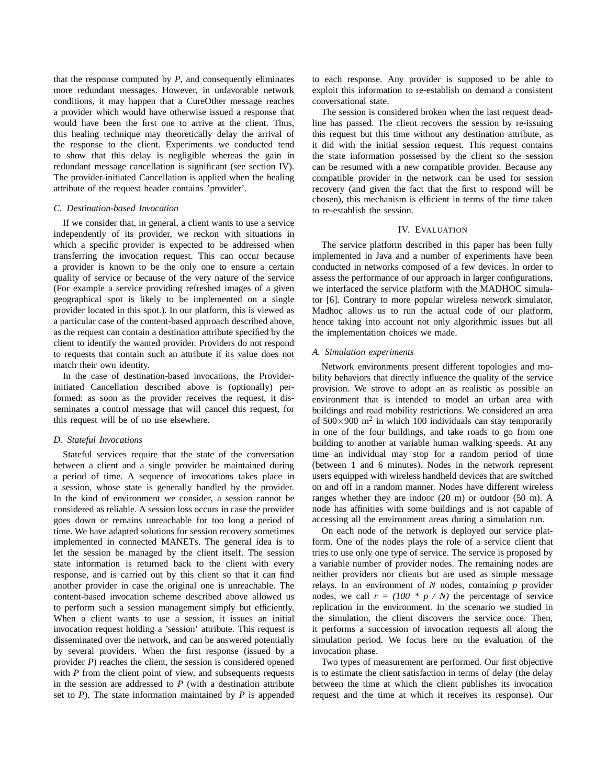that the response computed by *P*, and consequently eliminates more redundant messages. However, in unfavorable network conditions, it may happen that a CureOther message reaches a provider which would have otherwise issued a response that would have been the first one to arrive at the client. Thus, this healing technique may theoretically delay the arrival of the response to the client. Experiments we conducted tend to show that this delay is negligible whereas the gain in redundant message cancellation is significant (see section IV). The provider-initiated Cancellation is applied when the healing attribute of the request header contains 'provider'.

# *C. Destination-based Invocation*

If we consider that, in general, a client wants to use a service independently of its provider, we reckon with situations in which a specific provider is expected to be addressed when transferring the invocation request. This can occur because a provider is known to be the only one to ensure a certain quality of service or because of the very nature of the service (For example a service providing refreshed images of a given geographical spot is likely to be implemented on a single provider located in this spot.). In our platform, this is viewed as a particular case of the content-based approach described above, as the request can contain a destination attribute specified by the client to identify the wanted provider. Providers do not respond to requests that contain such an attribute if its value does not match their own identity.

In the case of destination-based invocations, the Providerinitiated Cancellation described above is (optionally) performed: as soon as the provider receives the request, it disseminates a control message that will cancel this request, for this request will be of no use elsewhere.

# *D. Stateful Invocations*

Stateful services require that the state of the conversation between a client and a single provider be maintained during a period of time. A sequence of invocations takes place in a session, whose state is generally handled by the provider. In the kind of environment we consider, a session cannot be considered as reliable. A session loss occurs in case the provider goes down or remains unreachable for too long a period of time. We have adapted solutions for session recovery sometimes implemented in connected MANETs. The general idea is to let the session be managed by the client itself. The session state information is returned back to the client with every response, and is carried out by this client so that it can find another provider in case the original one is unreachable. The content-based invocation scheme described above allowed us to perform such a session management simply but efficiently. When a client wants to use a session, it issues an initial invocation request holding a 'session' attribute. This request is disseminated over the network, and can be answered potentially by several providers. When the first response (issued by a provider *P*) reaches the client, the session is considered opened with *P* from the client point of view, and subsequents requests in the session are addressed to  $P$  (with a destination attribute set to *P*). The state information maintained by *P* is appended

to each response. Any provider is supposed to be able to exploit this information to re-establish on demand a consistent conversational state.

The session is considered broken when the last request deadline has passed. The client recovers the session by re-issuing this request but this time without any destination attribute, as it did with the initial session request. This request contains the state information possessed by the client so the session can be resumed with a new compatible provider. Because any compatible provider in the network can be used for session recovery (and given the fact that the first to respond will be chosen), this mechanism is efficient in terms of the time taken to re-establish the session.

# IV. EVALUATION

The service platform described in this paper has been fully implemented in Java and a number of experiments have been conducted in networks composed of a few devices. In order to assess the performance of our approach in larger configurations, we interfaced the service platform with the MADHOC simulator [6]. Contrary to more popular wireless network simulator, Madhoc allows us to run the actual code of our platform, hence taking into account not only algorithmic issues but all the implementation choices we made.

## *A. Simulation experiments*

Network environments present different topologies and mobility behaviors that directly influence the quality of the service provision. We strove to adopt an as realistic as possible an environment that is intended to model an urban area with buildings and road mobility restrictions. We considered an area of  $500 \times 900$  m<sup>2</sup> in which 100 individuals can stay temporarily in one of the four buildings, and take roads to go from one building to another at variable human walking speeds. At any time an individual may stop for a random period of time (between 1 and 6 minutes). Nodes in the network represent users equipped with wireless handheld devices that are switched on and off in a random manner. Nodes have different wireless ranges whether they are indoor (20 m) or outdoor (50 m). A node has affinities with some buildings and is not capable of accessing all the environment areas during a simulation run.

On each node of the network is deployed our service platform. One of the nodes plays the role of a service client that tries to use only one type of service. The service is proposed by a variable number of provider nodes. The remaining nodes are neither providers nor clients but are used as simple message relays. In an environment of *N* nodes, containing *p* provider nodes, we call  $r = (100 * p / N)$  the percentage of service replication in the environment. In the scenario we studied in the simulation, the client discovers the service once. Then, it performs a succession of invocation requests all along the simulation period. We focus here on the evaluation of the invocation phase.

Two types of measurement are performed. Our first objective is to estimate the client satisfaction in terms of delay (the delay between the time at which the client publishes its invocation request and the time at which it receives its response). Our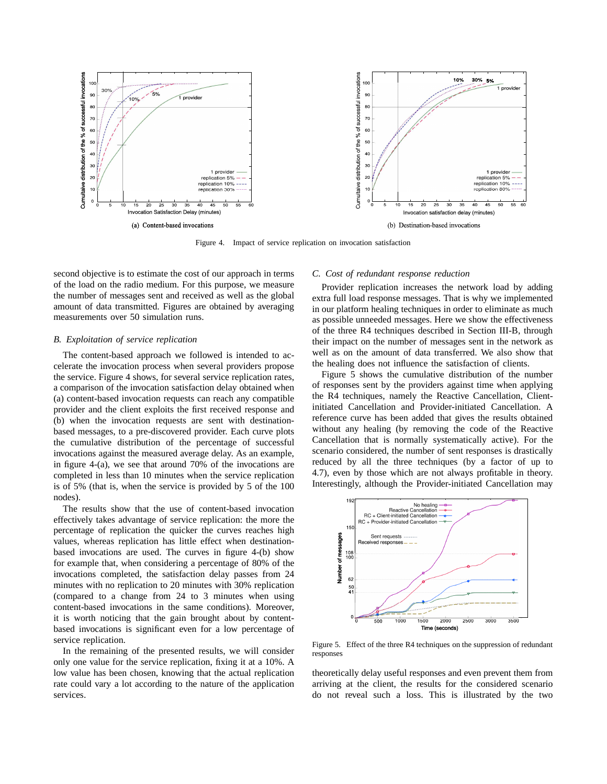

Figure 4. Impact of service replication on invocation satisfaction

second objective is to estimate the cost of our approach in terms of the load on the radio medium. For this purpose, we measure the number of messages sent and received as well as the global amount of data transmitted. Figures are obtained by averaging measurements over 50 simulation runs.

#### *B. Exploitation of service replication*

The content-based approach we followed is intended to accelerate the invocation process when several providers propose the service. Figure 4 shows, for several service replication rates, a comparison of the invocation satisfaction delay obtained when (a) content-based invocation requests can reach any compatible provider and the client exploits the first received response and (b) when the invocation requests are sent with destinationbased messages, to a pre-discovered provider. Each curve plots the cumulative distribution of the percentage of successful invocations against the measured average delay. As an example, in figure 4-(a), we see that around 70% of the invocations are completed in less than 10 minutes when the service replication is of 5% (that is, when the service is provided by 5 of the 100 nodes).

The results show that the use of content-based invocation effectively takes advantage of service replication: the more the percentage of replication the quicker the curves reaches high values, whereas replication has little effect when destinationbased invocations are used. The curves in figure 4-(b) show for example that, when considering a percentage of 80% of the invocations completed, the satisfaction delay passes from 24 minutes with no replication to 20 minutes with 30% replication (compared to a change from 24 to 3 minutes when using content-based invocations in the same conditions). Moreover, it is worth noticing that the gain brought about by contentbased invocations is significant even for a low percentage of service replication.

In the remaining of the presented results, we will consider only one value for the service replication, fixing it at a 10%. A low value has been chosen, knowing that the actual replication rate could vary a lot according to the nature of the application services.

## *C. Cost of redundant response reduction*

Provider replication increases the network load by adding extra full load response messages. That is why we implemented in our platform healing techniques in order to eliminate as much as possible unneeded messages. Here we show the effectiveness of the three R4 techniques described in Section III-B, through their impact on the number of messages sent in the network as well as on the amount of data transferred. We also show that the healing does not influence the satisfaction of clients.

Figure 5 shows the cumulative distribution of the number of responses sent by the providers against time when applying the R4 techniques, namely the Reactive Cancellation, Clientinitiated Cancellation and Provider-initiated Cancellation. A reference curve has been added that gives the results obtained without any healing (by removing the code of the Reactive Cancellation that is normally systematically active). For the scenario considered, the number of sent responses is drastically reduced by all the three techniques (by a factor of up to 4.7), even by those which are not always profitable in theory. Interestingly, although the Provider-initiated Cancellation may



Figure 5. Effect of the three R4 techniques on the suppression of redundant responses

theoretically delay useful responses and even prevent them from arriving at the client, the results for the considered scenario do not reveal such a loss. This is illustrated by the two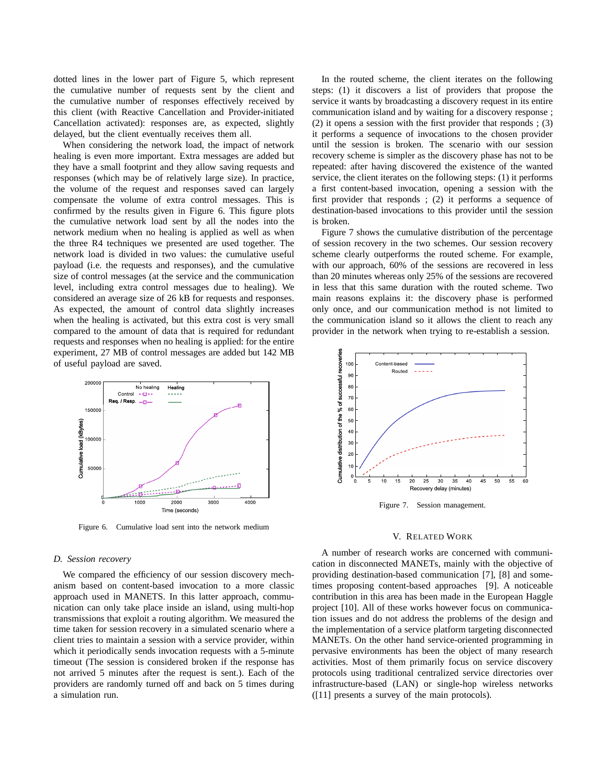dotted lines in the lower part of Figure 5, which represent the cumulative number of requests sent by the client and the cumulative number of responses effectively received by this client (with Reactive Cancellation and Provider-initiated Cancellation activated): responses are, as expected, slightly delayed, but the client eventually receives them all.

When considering the network load, the impact of network healing is even more important. Extra messages are added but they have a small footprint and they allow saving requests and responses (which may be of relatively large size). In practice, the volume of the request and responses saved can largely compensate the volume of extra control messages. This is confirmed by the results given in Figure 6. This figure plots the cumulative network load sent by all the nodes into the network medium when no healing is applied as well as when the three R4 techniques we presented are used together. The network load is divided in two values: the cumulative useful payload (i.e. the requests and responses), and the cumulative size of control messages (at the service and the communication level, including extra control messages due to healing). We considered an average size of 26 kB for requests and responses. As expected, the amount of control data slightly increases when the healing is activated, but this extra cost is very small compared to the amount of data that is required for redundant requests and responses when no healing is applied: for the entire experiment, 27 MB of control messages are added but 142 MB of useful payload are saved.



Figure 6. Cumulative load sent into the network medium

### *D. Session recovery*

We compared the efficiency of our session discovery mechanism based on content-based invocation to a more classic approach used in MANETS. In this latter approach, communication can only take place inside an island, using multi-hop transmissions that exploit a routing algorithm. We measured the time taken for session recovery in a simulated scenario where a client tries to maintain a session with a service provider, within which it periodically sends invocation requests with a 5-minute timeout (The session is considered broken if the response has not arrived 5 minutes after the request is sent.). Each of the providers are randomly turned off and back on 5 times during a simulation run.

In the routed scheme, the client iterates on the following steps: (1) it discovers a list of providers that propose the service it wants by broadcasting a discovery request in its entire communication island and by waiting for a discovery response ; (2) it opens a session with the first provider that responds ; (3) it performs a sequence of invocations to the chosen provider until the session is broken. The scenario with our session recovery scheme is simpler as the discovery phase has not to be repeated: after having discovered the existence of the wanted service, the client iterates on the following steps: (1) it performs a first content-based invocation, opening a session with the first provider that responds ; (2) it performs a sequence of destination-based invocations to this provider until the session is broken.

Figure 7 shows the cumulative distribution of the percentage of session recovery in the two schemes. Our session recovery scheme clearly outperforms the routed scheme. For example, with our approach, 60% of the sessions are recovered in less than 20 minutes whereas only 25% of the sessions are recovered in less that this same duration with the routed scheme. Two main reasons explains it: the discovery phase is performed only once, and our communication method is not limited to the communication island so it allows the client to reach any provider in the network when trying to re-establish a session.



Figure 7. Session management.

#### V. RELATED WORK

A number of research works are concerned with communication in disconnected MANETs, mainly with the objective of providing destination-based communication [7], [8] and sometimes proposing content-based approaches [9]. A noticeable contribution in this area has been made in the European Haggle project [10]. All of these works however focus on communication issues and do not address the problems of the design and the implementation of a service platform targeting disconnected MANETs. On the other hand service-oriented programming in pervasive environments has been the object of many research activities. Most of them primarily focus on service discovery protocols using traditional centralized service directories over infrastructure-based (LAN) or single-hop wireless networks ([11] presents a survey of the main protocols).